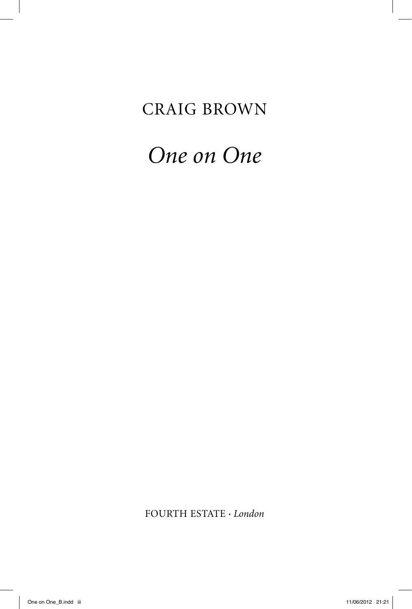# CRAIG BROWN

# *One on One*

FOURTH ESTATE · *London*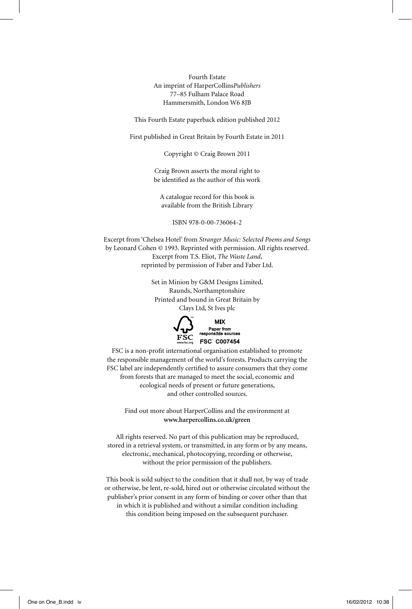Fourth Estate An imprint of HarperCollins*Publishers* 77–85 Fulham Palace Road Hammersmith, London W6 8JB

This Fourth Estate paperback edition published 2012

First published in Great Britain by Fourth Estate in 2011

Copyright © Craig Brown 2011

Craig Brown asserts the moral right to be identified as the author of this work

A catalogue record for this book is available from the British Library

ISBN 978-0-00-736064-2

Excerpt from 'Chelsea Hotel' from *Stranger Music: Selected Poems and Songs* by Leonard Cohen © 1993. Reprinted with permission. All rights reserved. Excerpt from T.S. Eliot, *The Waste Land*, reprinted by permission of Faber and Faber Ltd.

> Set in Minion by G&M Designs Limited, Raunds, Northamptonshire Printed and bound in Great Britain by Clays Ltd, St Ives plc



FSC is a non-profit international organisation established to promote the responsible management of the world's forests. Products carrying the FSC label are independently certified to assure consumers that they come from forests that are managed to meet the social, economic and ecological needs of present or future generations, and other controlled sources.

Find out more about HarperCollins and the environment at **www.harpercollins.co.uk/green**

All rights reserved. No part of this publication may be reproduced, stored in a retrieval system, or transmitted, in any form or by any means, electronic, mechanical, photocopying, recording or otherwise, without the prior permission of the publishers.

This book is sold subject to the condition that it shall not, by way of trade or otherwise, be lent, re-sold, hired out or otherwise circulated without the publisher's prior consent in any form of binding or cover other than that in which it is published and without a similar condition including this condition being imposed on the subsequent purchaser.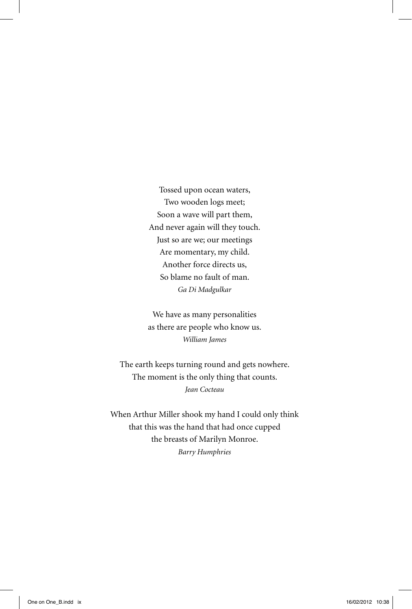Tossed upon ocean waters, Two wooden logs meet; Soon a wave will part them, And never again will they touch. Just so are we; our meetings Are momentary, my child. Another force directs us, So blame no fault of man. *Ga Di Madgulkar*

We have as many personalities as there are people who know us. *William James*

The earth keeps turning round and gets nowhere. The moment is the only thing that counts. *Jean Cocteau*

When Arthur Miller shook my hand I could only think that this was the hand that had once cupped the breasts of Marilyn Monroe. *Barry Humphries*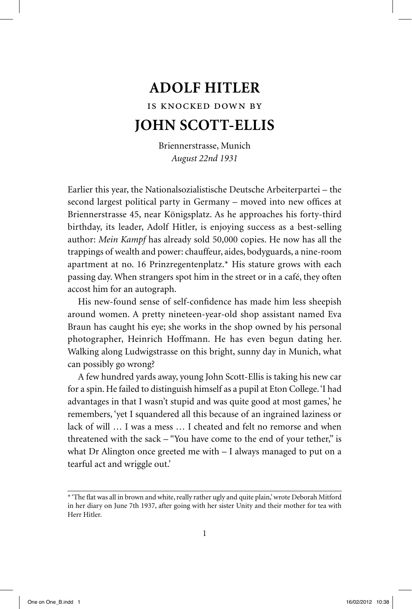### **ADOLF HITLER** is knocked down by **JOHN SCOTT-ELLIS**

Briennerstrasse, Munich *August 22nd 1931*

Earlier this year, the Nationalsozialistische Deutsche Arbeiterpartei – the second largest political party in Germany – moved into new offices at Briennerstrasse 45, near Königsplatz. As he approaches his forty-third birthday, its leader, Adolf Hitler, is enjoying success as a best-selling author: *Mein Kampf* has already sold 50,000 copies. He now has all the trappings of wealth and power: chauffeur, aides, bodyguards, a nine-room apartment at no. 16 Prinzregentenplatz.\* His stature grows with each passing day. When strangers spot him in the street or in a café, they often accost him for an autograph.

His new-found sense of self-confidence has made him less sheepish around women. A pretty nineteen-year-old shop assistant named Eva Braun has caught his eye; she works in the shop owned by his personal photographer, Heinrich Hoffmann. He has even begun dating her. Walking along Ludwigstrasse on this bright, sunny day in Munich, what can possibly go wrong?

A few hundred yards away, young John Scott-Ellis is taking his new car for a spin. He failed to distinguish himself as a pupil at Eton College. 'I had advantages in that I wasn't stupid and was quite good at most games,' he remembers, 'yet I squandered all this because of an ingrained laziness or lack of will … I was a mess … I cheated and felt no remorse and when threatened with the sack – "You have come to the end of your tether," is what Dr Alington once greeted me with – I always managed to put on a tearful act and wriggle out.'

<sup>\* &#</sup>x27;The flat was all in brown and white, really rather ugly and quite plain,' wrote Deborah Mitford in her diary on June 7th 1937, after going with her sister Unity and their mother for tea with Herr Hitler.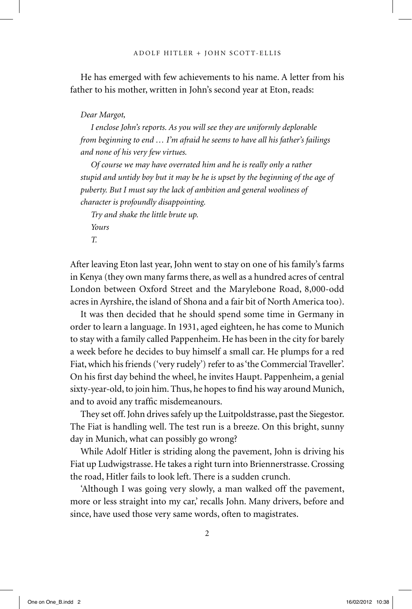He has emerged with few achievements to his name. A letter from his father to his mother, written in John's second year at Eton, reads:

#### *Dear Margot,*

*I enclose John's reports. As you will see they are uniformly deplorable from beginning to end … I'm afraid he seems to have all his father's failings and none of his very few virtues.*

*Of course we may have overrated him and he is really only a rather stupid and untidy boy but it may be he is upset by the beginning of the age of puberty. But I must say the lack of ambition and general wooliness of character is profoundly disappointing.*

*Try and shake the little brute up. Yours T.*

After leaving Eton last year, John went to stay on one of his family's farms in Kenya (they own many farms there, as well as a hundred acres of central London between Oxford Street and the Marylebone Road, 8,000-odd acres in Ayrshire, the island of Shona and a fair bit of North America too).

It was then decided that he should spend some time in Germany in order to learn a language. In 1931, aged eighteen, he has come to Munich to stay with a family called Pappenheim. He has been in the city for barely a week before he decides to buy himself a small car. He plumps for a red Fiat, which his friends ('very rudely') refer to as 'the Commercial Traveller'. On his first day behind the wheel, he invites Haupt. Pappenheim, a genial sixty-year-old, to join him. Thus, he hopes to find his way around Munich, and to avoid any traffic misdemeanours.

They set off. John drives safely up the Luitpoldstrasse, past the Siegestor. The Fiat is handling well. The test run is a breeze. On this bright, sunny day in Munich, what can possibly go wrong?

While Adolf Hitler is striding along the pavement, John is driving his Fiat up Ludwigstrasse. He takes a right turn into Briennerstrasse. Crossing the road, Hitler fails to look left. There is a sudden crunch.

'Although I was going very slowly, a man walked off the pavement, more or less straight into my car,' recalls John. Many drivers, before and since, have used those very same words, often to magistrates.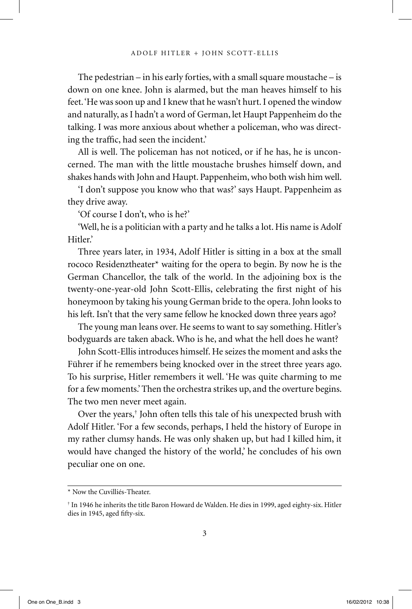The pedestrian – in his early forties, with a small square moustache – is down on one knee. John is alarmed, but the man heaves himself to his feet. 'He was soon up and I knew that he wasn't hurt. I opened the window and naturally, as I hadn't a word of German, let Haupt Pappenheim do the talking. I was more anxious about whether a policeman, who was directing the traffic, had seen the incident.'

All is well. The policeman has not noticed, or if he has, he is unconcerned. The man with the little moustache brushes himself down, and shakes hands with John and Haupt. Pappenheim, who both wish him well.

'I don't suppose you know who that was?' says Haupt. Pappenheim as they drive away.

'Of course I don't, who is he?'

'Well, he is a politician with a party and he talks a lot. His name is Adolf Hitler.'

Three years later, in 1934, Adolf Hitler is sitting in a box at the small rococo Residenztheater\* waiting for the opera to begin. By now he is the German Chancellor, the talk of the world. In the adjoining box is the twenty-one-year-old John Scott-Ellis, celebrating the first night of his honeymoon by taking his young German bride to the opera. John looks to his left. Isn't that the very same fellow he knocked down three years ago?

The young man leans over. He seems to want to say something. Hitler's bodyguards are taken aback. Who is he, and what the hell does he want?

John Scott-Ellis introduces himself. He seizes the moment and asks the Führer if he remembers being knocked over in the street three years ago. To his surprise, Hitler remembers it well. 'He was quite charming to me for a few moments.' Then the orchestra strikes up, and the overture begins. The two men never meet again.

Over the years,† John often tells this tale of his unexpected brush with Adolf Hitler. 'For a few seconds, perhaps, I held the history of Europe in my rather clumsy hands. He was only shaken up, but had I killed him, it would have changed the history of the world,' he concludes of his own peculiar one on one.

<sup>\*</sup> Now the Cuvilliés-Theater.

<sup>†</sup> In 1946 he inherits the title Baron Howard de Walden. He dies in 1999, aged eighty-six. Hitler dies in 1945, aged fifty-six.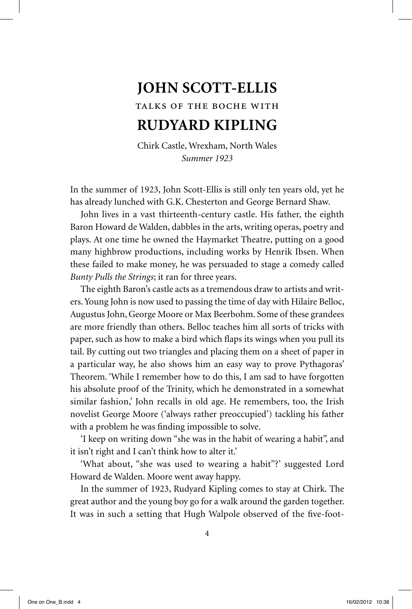## **JOHN SCOTT-ELLIS** talks of the boche with **RUDYARD KIPLING**

Chirk Castle, Wrexham, North Wales *Summer 1923*

In the summer of 1923, John Scott-Ellis is still only ten years old, yet he has already lunched with G.K. Chesterton and George Bernard Shaw.

John lives in a vast thirteenth-century castle. His father, the eighth Baron Howard de Walden, dabbles in the arts, writing operas, poetry and plays. At one time he owned the Haymarket Theatre, putting on a good many highbrow productions, including works by Henrik Ibsen. When these failed to make money, he was persuaded to stage a comedy called *Bunty Pulls the Strings*; it ran for three years.

The eighth Baron's castle acts as a tremendous draw to artists and writers. Young John is now used to passing the time of day with Hilaire Belloc, Augustus John, George Moore or Max Beerbohm. Some of these grandees are more friendly than others. Belloc teaches him all sorts of tricks with paper, such as how to make a bird which flaps its wings when you pull its tail. By cutting out two triangles and placing them on a sheet of paper in a particular way, he also shows him an easy way to prove Pythagoras' Theorem. 'While I remember how to do this, I am sad to have forgotten his absolute proof of the Trinity, which he demonstrated in a somewhat similar fashion,' John recalls in old age. He remembers, too, the Irish novelist George Moore ('always rather preoccupied') tackling his father with a problem he was finding impossible to solve.

'I keep on writing down "she was in the habit of wearing a habit", and it isn't right and I can't think how to alter it.'

'What about, "she was used to wearing a habit"?' suggested Lord Howard de Walden. Moore went away happy.

In the summer of 1923, Rudyard Kipling comes to stay at Chirk. The great author and the young boy go for a walk around the garden together. It was in such a setting that Hugh Walpole observed of the five-foot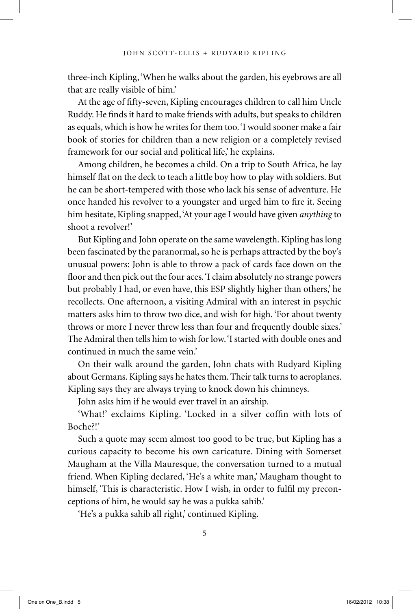three-inch Kipling, 'When he walks about the garden, his eyebrows are all that are really visible of him.'

At the age of fifty-seven, Kipling encourages children to call him Uncle Ruddy. He finds it hard to make friends with adults, but speaks to children as equals, which is how he writes for them too. 'I would sooner make a fair book of stories for children than a new religion or a completely revised framework for our social and political life,' he explains.

Among children, he becomes a child. On a trip to South Africa, he lay himself flat on the deck to teach a little boy how to play with soldiers. But he can be short-tempered with those who lack his sense of adventure. He once handed his revolver to a youngster and urged him to fire it. Seeing him hesitate, Kipling snapped, 'At your age I would have given *anything* to shoot a revolver!'

But Kipling and John operate on the same wavelength. Kipling has long been fascinated by the paranormal, so he is perhaps attracted by the boy's unusual powers: John is able to throw a pack of cards face down on the floor and then pick out the four aces. I claim absolutely no strange powers but probably I had, or even have, this ESP slightly higher than others,' he recollects. One afternoon, a visiting Admiral with an interest in psychic matters asks him to throw two dice, and wish for high. 'For about twenty throws or more I never threw less than four and frequently double sixes.' The Admiral then tells him to wish for low. 'I started with double ones and continued in much the same vein.'

On their walk around the garden, John chats with Rudyard Kipling about Germans. Kipling says he hates them. Their talk turns to aeroplanes. Kipling says they are always trying to knock down his chimneys.

John asks him if he would ever travel in an airship.

'What!' exclaims Kipling. 'Locked in a silver coffin with lots of Boche?!'

Such a quote may seem almost too good to be true, but Kipling has a curious capacity to become his own caricature. Dining with Somerset Maugham at the Villa Mauresque, the conversation turned to a mutual friend. When Kipling declared, 'He's a white man,' Maugham thought to himself, 'This is characteristic. How I wish, in order to fulfil my preconceptions of him, he would say he was a pukka sahib.'

'He's a pukka sahib all right,' continued Kipling.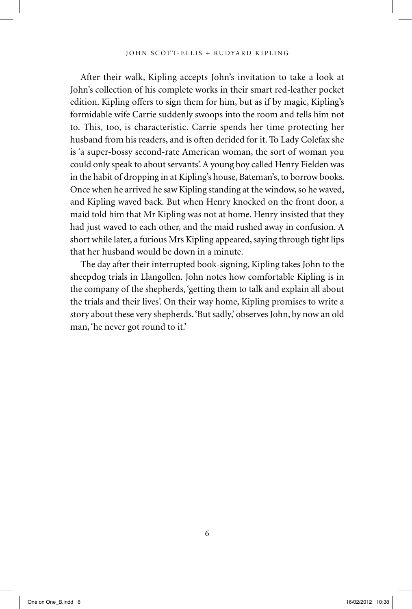After their walk, Kipling accepts John's invitation to take a look at John's collection of his complete works in their smart red-leather pocket edition. Kipling offers to sign them for him, but as if by magic, Kipling's formidable wife Carrie suddenly swoops into the room and tells him not to. This, too, is characteristic. Carrie spends her time protecting her husband from his readers, and is often derided for it. To Lady Colefax she is 'a super-bossy second-rate American woman, the sort of woman you could only speak to about servants'. A young boy called Henry Fielden was in the habit of dropping in at Kipling's house, Bateman's, to borrow books. Once when he arrived he saw Kipling standing at the window, so he waved, and Kipling waved back. But when Henry knocked on the front door, a maid told him that Mr Kipling was not at home. Henry insisted that they had just waved to each other, and the maid rushed away in confusion. A short while later, a furious Mrs Kipling appeared, saying through tight lips that her husband would be down in a minute.

The day after their interrupted book-signing, Kipling takes John to the sheepdog trials in Llangollen. John notes how comfortable Kipling is in the company of the shepherds, 'getting them to talk and explain all about the trials and their lives'. On their way home, Kipling promises to write a story about these very shepherds. 'But sadly,' observes John, by now an old man, 'he never got round to it.'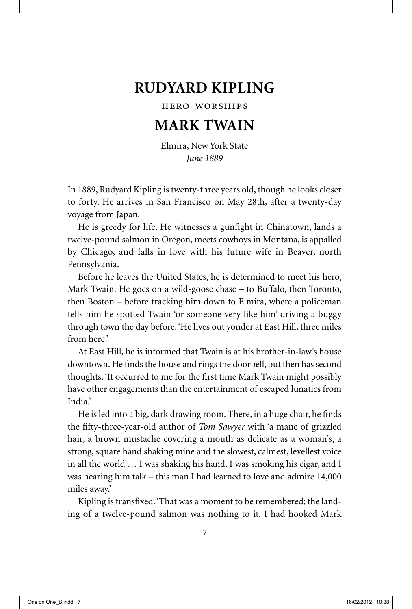### **RUDYARD KIPLING**

hero-worships

### **MARK TWAIN**

Elmira, New York State *June 1889*

In 1889, Rudyard Kipling is twenty-three years old, though he looks closer to forty. He arrives in San Francisco on May 28th, after a twenty-day voyage from Japan.

He is greedy for life. He witnesses a gunfight in Chinatown, lands a twelve-pound salmon in Oregon, meets cowboys in Montana, is appalled by Chicago, and falls in love with his future wife in Beaver, north Pennsylvania.

Before he leaves the United States, he is determined to meet his hero, Mark Twain. He goes on a wild-goose chase – to Buffalo, then Toronto, then Boston – before tracking him down to Elmira, where a policeman tells him he spotted Twain 'or someone very like him' driving a buggy through town the day before. 'He lives out yonder at East Hill, three miles from here.'

At East Hill, he is informed that Twain is at his brother-in-law's house downtown. He finds the house and rings the doorbell, but then has second thoughts. 'It occurred to me for the first time Mark Twain might possibly have other engagements than the entertainment of escaped lunatics from India.'

He is led into a big, dark drawing room. There, in a huge chair, he finds the fifty-three-year-old author of *Tom Sawyer* with 'a mane of grizzled hair, a brown mustache covering a mouth as delicate as a woman's, a strong, square hand shaking mine and the slowest, calmest, levellest voice in all the world … I was shaking his hand. I was smoking his cigar, and I was hearing him talk – this man I had learned to love and admire 14,000 miles away.'

Kipling is transfixed. 'That was a moment to be remembered; the landing of a twelve-pound salmon was nothing to it. I had hooked Mark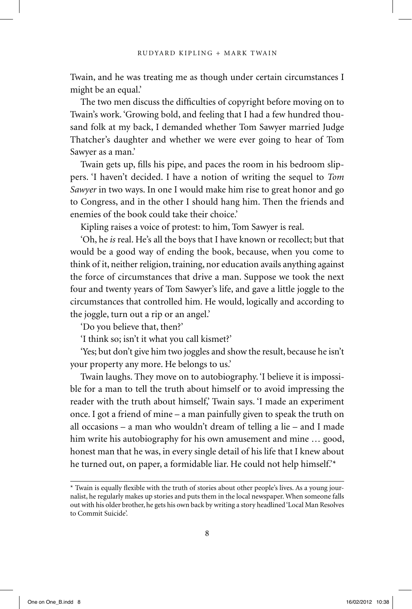Twain, and he was treating me as though under certain circumstances I might be an equal.'

The two men discuss the difficulties of copyright before moving on to Twain's work. 'Growing bold, and feeling that I had a few hundred thousand folk at my back, I demanded whether Tom Sawyer married Judge Thatcher's daughter and whether we were ever going to hear of Tom Sawyer as a man.'

Twain gets up, fills his pipe, and paces the room in his bedroom slippers. 'I haven't decided. I have a notion of writing the sequel to *Tom Sawyer* in two ways. In one I would make him rise to great honor and go to Congress, and in the other I should hang him. Then the friends and enemies of the book could take their choice.'

Kipling raises a voice of protest: to him, Tom Sawyer is real.

'Oh, he *is* real. He's all the boys that I have known or recollect; but that would be a good way of ending the book, because, when you come to think of it, neither religion, training, nor education avails anything against the force of circumstances that drive a man. Suppose we took the next four and twenty years of Tom Sawyer's life, and gave a little joggle to the circumstances that controlled him. He would, logically and according to the joggle, turn out a rip or an angel.'

'Do you believe that, then?'

'I think so; isn't it what you call kismet?'

'Yes; but don't give him two joggles and show the result, because he isn't your property any more. He belongs to us.'

Twain laughs. They move on to autobiography. 'I believe it is impossible for a man to tell the truth about himself or to avoid impressing the reader with the truth about himself,' Twain says. 'I made an experiment once. I got a friend of mine – a man painfully given to speak the truth on all occasions – a man who wouldn't dream of telling a lie – and I made him write his autobiography for his own amusement and mine ... good, honest man that he was, in every single detail of his life that I knew about he turned out, on paper, a formidable liar. He could not help himself.'\*

<sup>\*</sup> Twain is equally flexible with the truth of stories about other people's lives. As a young journalist, he regularly makes up stories and puts them in the local newspaper. When someone falls out with his older brother, he gets his own back by writing a story headlined 'Local Man Resolves to Commit Suicide'.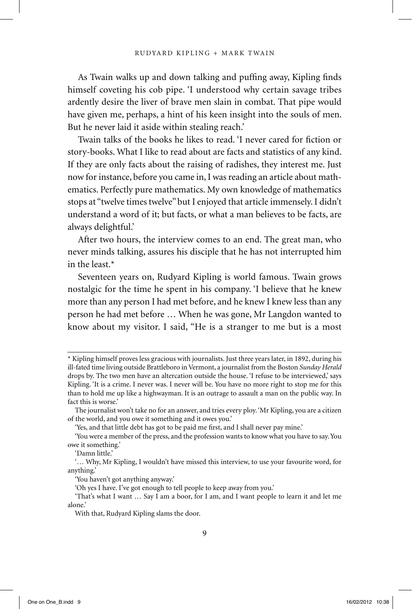As Twain walks up and down talking and puffing away, Kipling finds himself coveting his cob pipe. 'I understood why certain savage tribes ardently desire the liver of brave men slain in combat. That pipe would have given me, perhaps, a hint of his keen insight into the souls of men. But he never laid it aside within stealing reach.'

Twain talks of the books he likes to read. 'I never cared for fiction or story-books. What I like to read about are facts and statistics of any kind. If they are only facts about the raising of radishes, they interest me. Just now for instance, before you came in, I was reading an article about mathematics. Perfectly pure mathematics. My own knowledge of mathematics stops at "twelve times twelve" but I enjoyed that article immensely. I didn't understand a word of it; but facts, or what a man believes to be facts, are always delightful.'

After two hours, the interview comes to an end. The great man, who never minds talking, assures his disciple that he has not interrupted him in the least.\*

Seventeen years on, Rudyard Kipling is world famous. Twain grows nostalgic for the time he spent in his company. 'I believe that he knew more than any person I had met before, and he knew I knew less than any person he had met before … When he was gone, Mr Langdon wanted to know about my visitor. I said, "He is a stranger to me but is a most

'Yes, and that little debt has got to be paid me first, and I shall never pay mine.'

<sup>\*</sup> Kipling himself proves less gracious with journalists. Just three years later, in 1892, during his ill-fated time living outside Brattleboro in Vermont, a journalist from the Boston *Sunday Herald*  drops by. The two men have an altercation outside the house. 'I refuse to be interviewed,' says Kipling. 'It is a crime. I never was. I never will be. You have no more right to stop me for this than to hold me up like a highwayman. It is an outrage to assault a man on the public way. In fact this is worse.'

The journalist won't take no for an answer, and tries every ploy. 'Mr Kipling, you are a citizen of the world, and you owe it something and it owes you.'

<sup>&#</sup>x27;You were a member of the press, and the profession wants to know what you have to say. You owe it something.'

<sup>&#</sup>x27;Damn little.'

<sup>&#</sup>x27;… Why, Mr Kipling, I wouldn't have missed this interview, to use your favourite word, for anything.'

<sup>&#</sup>x27;You haven't got anything anyway.'

<sup>&#</sup>x27;Oh yes I have. I've got enough to tell people to keep away from you.'

<sup>&#</sup>x27;That's what I want … Say I am a boor, for I am, and I want people to learn it and let me alone.'

With that, Rudyard Kipling slams the door.